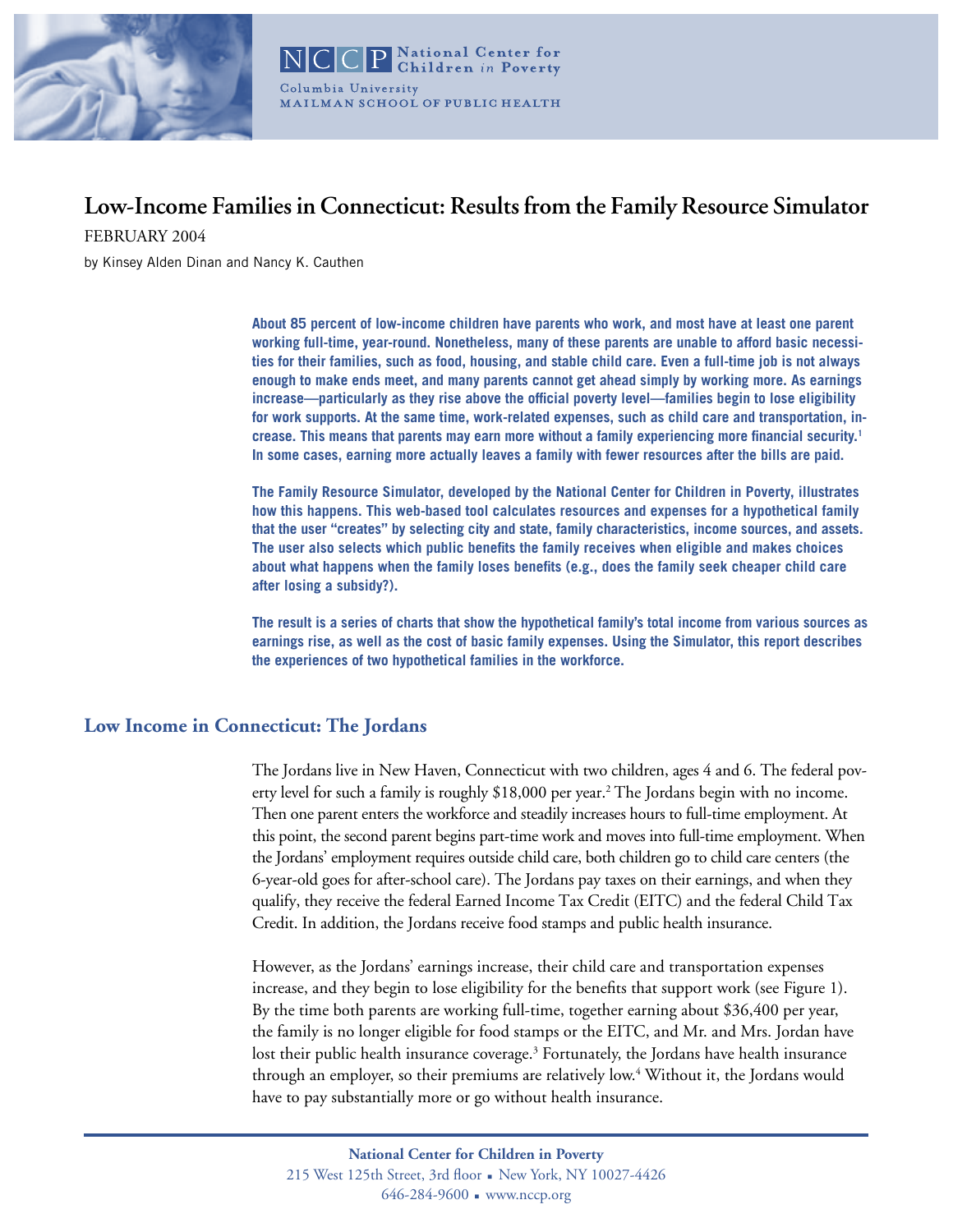

#### **National Center for Children** in Poverty Columbia University MAILMAN SCHOOL OF PUBLIC HEALTH

# **Low-Income Families in Connecticut: Results from the Family Resource Simulator**

FEBRUARY 2004

by Kinsey Alden Dinan and Nancy K. Cauthen

**About 85 percent of low-income children have parents who work, and most have at least one parent working full-time, year-round. Nonetheless, many of these parents are unable to afford basic necessities for their families, such as food, housing, and stable child care. Even a full-time job is not always enough to make ends meet, and many parents cannot get ahead simply by working more. As earnings increase—particularly as they rise above the official poverty level—families begin to lose eligibility for work supports. At the same time, work-related expenses, such as child care and transportation, increase. This means that parents may earn more without a family experiencing more financial security.1 In some cases, earning more actually leaves a family with fewer resources after the bills are paid.** 

**The Family Resource Simulator, developed by the National Center for Children in Poverty, illustrates how this happens. This web-based tool calculates resources and expenses for a hypothetical family that the user "creates" by selecting city and state, family characteristics, income sources, and assets. The user also selects which public benefits the family receives when eligible and makes choices about what happens when the family loses benefits (e.g., does the family seek cheaper child care after losing a subsidy?).** 

**The result is a series of charts that show the hypothetical family's total income from various sources as earnings rise, as well as the cost of basic family expenses. Using the Simulator, this report describes the experiences of two hypothetical families in the workforce.**

## **Low Income in Connecticut: The Jordans**

The Jordans live in New Haven, Connecticut with two children, ages 4 and 6. The federal poverty level for such a family is roughly \$18,000 per year.<sup>2</sup> The Jordans begin with no income. Then one parent enters the workforce and steadily increases hours to full-time employment. At this point, the second parent begins part-time work and moves into full-time employment. When the Jordans' employment requires outside child care, both children go to child care centers (the 6-year-old goes for after-school care). The Jordans pay taxes on their earnings, and when they qualify, they receive the federal Earned Income Tax Credit (EITC) and the federal Child Tax Credit. In addition, the Jordans receive food stamps and public health insurance.

However, as the Jordans' earnings increase, their child care and transportation expenses increase, and they begin to lose eligibility for the benefits that support work (see Figure 1). By the time both parents are working full-time, together earning about \$36,400 per year, the family is no longer eligible for food stamps or the EITC, and Mr. and Mrs. Jordan have lost their public health insurance coverage.<sup>3</sup> Fortunately, the Jordans have health insurance through an employer, so their premiums are relatively low.<sup>4</sup> Without it, the Jordans would have to pay substantially more or go without health insurance.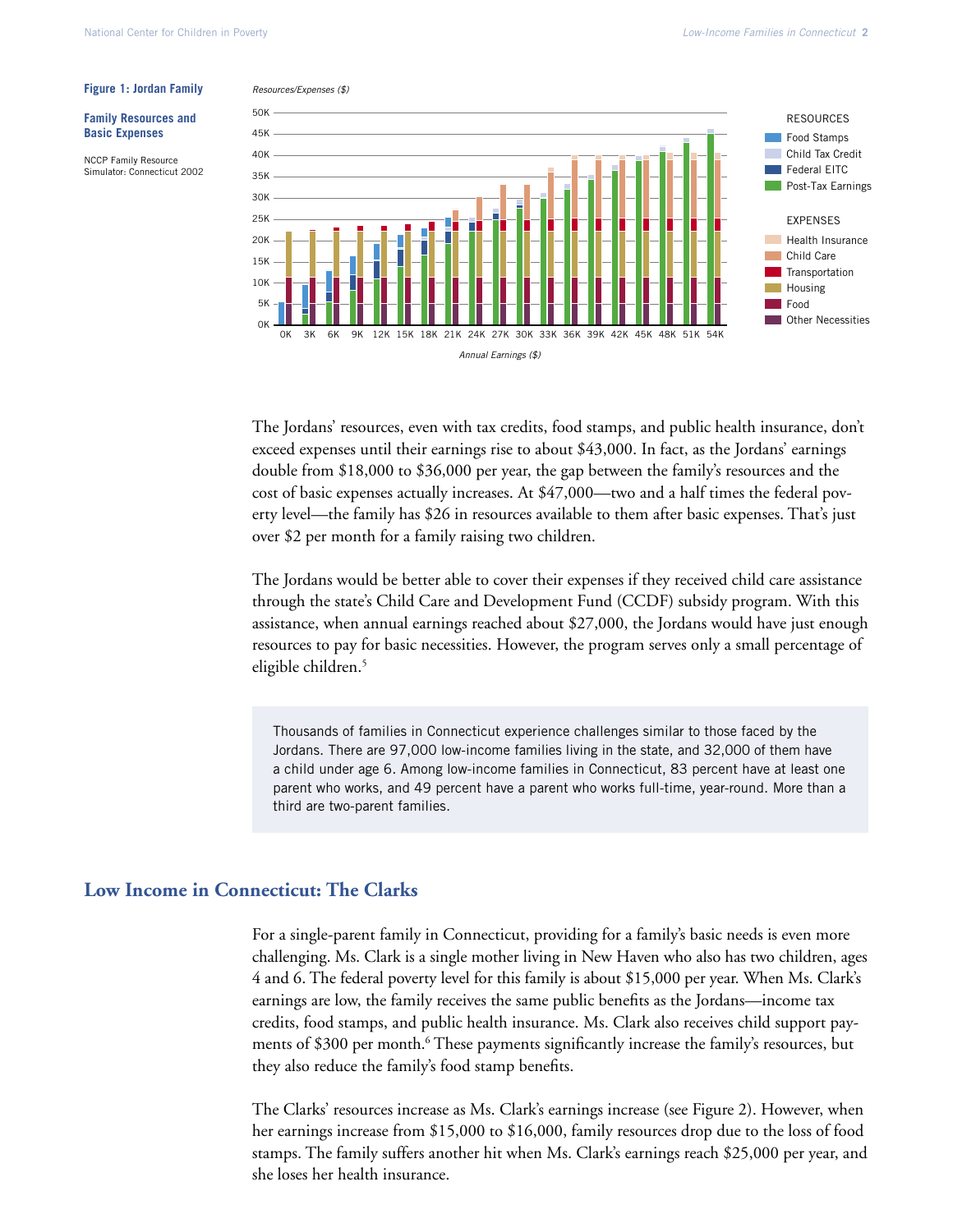#### **Figure 1: Jordan Family**

#### **Family Resources and Basic Expenses**

NCCP Family Resource Simulator: Connecticut 2002



The Jordans' resources, even with tax credits, food stamps, and public health insurance, don't exceed expenses until their earnings rise to about \$43,000. In fact, as the Jordans' earnings double from \$18,000 to \$36,000 per year, the gap between the family's resources and the cost of basic expenses actually increases. At \$47,000—two and a half times the federal poverty level—the family has \$26 in resources available to them after basic expenses. That's just over \$2 per month for a family raising two children.

The Jordans would be better able to cover their expenses if they received child care assistance through the state's Child Care and Development Fund (CCDF) subsidy program. With this assistance, when annual earnings reached about \$27,000, the Jordans would have just enough resources to pay for basic necessities. However, the program serves only a small percentage of eligible children.<sup>5</sup>

Thousands of families in Connecticut experience challenges similar to those faced by the Jordans. There are 97,000 low-income families living in the state, and 32,000 of them have a child under age 6. Among low-income families in Connecticut, 83 percent have at least one parent who works, and 49 percent have a parent who works full-time, year-round. More than a third are two-parent families.

### **Low Income in Connecticut: The Clarks**

For a single-parent family in Connecticut, providing for a family's basic needs is even more challenging. Ms. Clark is a single mother living in New Haven who also has two children, ages 4 and 6. The federal poverty level for this family is about \$15,000 per year. When Ms. Clark's earnings are low, the family receives the same public benefits as the Jordans—income tax credits, food stamps, and public health insurance. Ms. Clark also receives child support payments of \$300 per month.<sup>6</sup> These payments significantly increase the family's resources, but they also reduce the family's food stamp benefits.

The Clarks' resources increase as Ms. Clark's earnings increase (see Figure 2). However, when her earnings increase from \$15,000 to \$16,000, family resources drop due to the loss of food stamps. The family suffers another hit when Ms. Clark's earnings reach \$25,000 per year, and she loses her health insurance.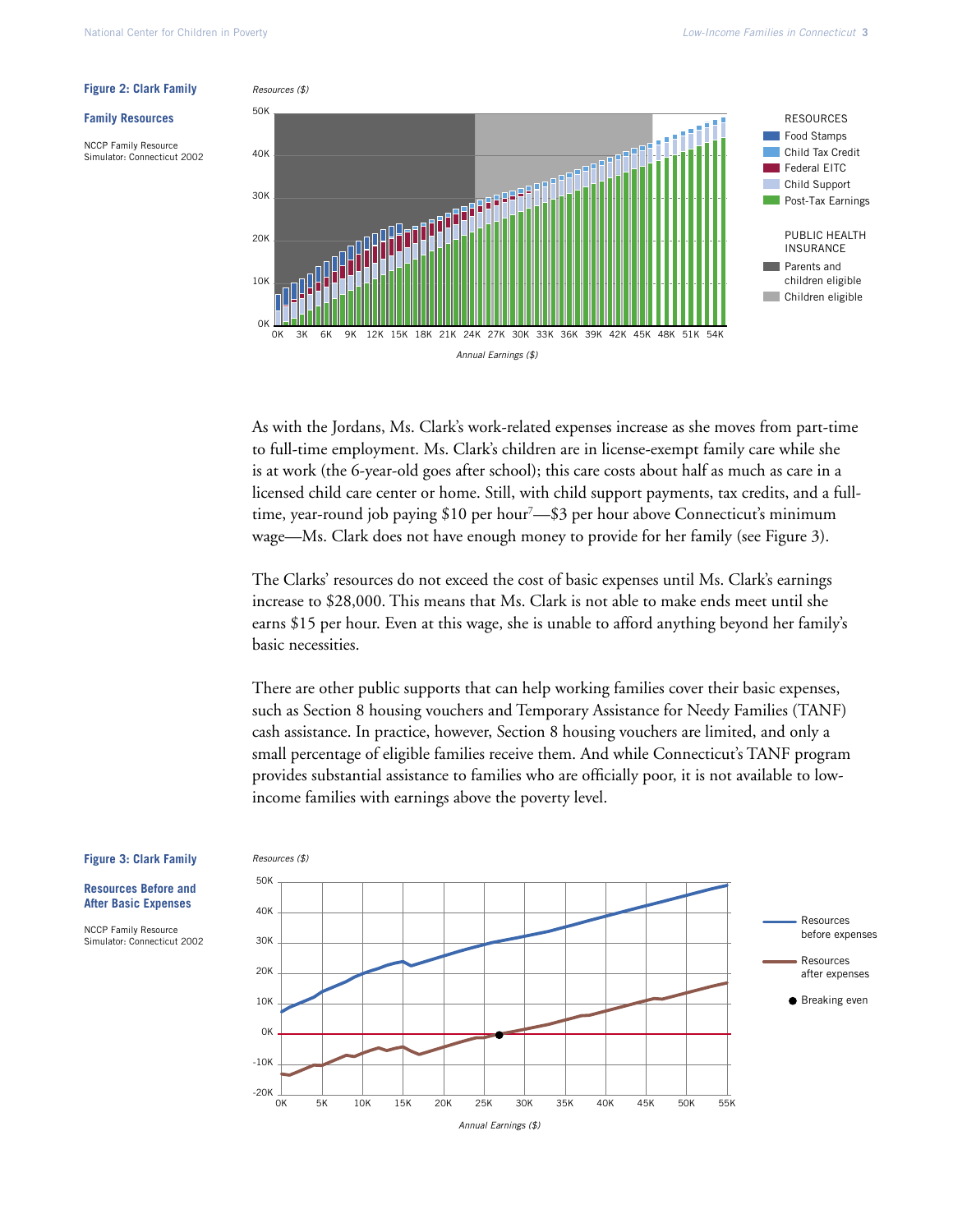#### **Family Resources**

NCCP Family Resource Simulator: Connecticut 2002



As with the Jordans, Ms. Clark's work-related expenses increase as she moves from part-time to full-time employment. Ms. Clark's children are in license-exempt family care while she is at work (the 6-year-old goes after school); this care costs about half as much as care in a licensed child care center or home. Still, with child support payments, tax credits, and a fulltime, year-round job paying \$10 per hour<sup>7</sup>—\$3 per hour above Connecticut's minimum wage—Ms. Clark does not have enough money to provide for her family (see Figure 3).

The Clarks' resources do not exceed the cost of basic expenses until Ms. Clark's earnings increase to \$28,000. This means that Ms. Clark is not able to make ends meet until she earns \$15 per hour. Even at this wage, she is unable to afford anything beyond her family's basic necessities.

There are other public supports that can help working families cover their basic expenses, such as Section 8 housing vouchers and Temporary Assistance for Needy Families (TANF) cash assistance. In practice, however, Section 8 housing vouchers are limited, and only a small percentage of eligible families receive them. And while Connecticut's TANF program provides substantial assistance to families who are officially poor, it is not available to lowincome families with earnings above the poverty level.



#### **Figure 3: Clark Family**

**Resources Before and After Basic Expenses**

NCCP Family Resource Simulator: Connecticut 2002